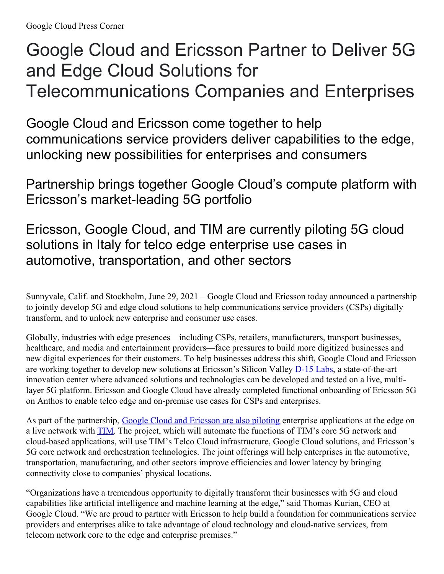# Google Cloud and Ericsson Partner to Deliver 5G and Edge Cloud Solutions for Telecommunications Companies and Enterprises

Google Cloud and Ericsson come together to help communications service providers deliver capabilities to the edge, unlocking new possibilities for enterprises and consumers

Partnership brings together Google Cloud's compute platform with Ericsson's market-leading 5G portfolio

Ericsson, Google Cloud, and TIM are currently piloting 5G cloud solutions in Italy for telco edge enterprise use cases in automotive, transportation, and other sectors

Sunnyvale, Calif. and Stockholm, June 29, 2021 – Google Cloud and Ericsson today announced a partnership to jointly develop 5G and edge cloud solutions to help communications service providers (CSPs) digitally transform, and to unlock new enterprise and consumer use cases.

Globally, industries with edge presences—including CSPs, retailers, manufacturers, transport businesses, healthcare, and media and entertainment providers—face pressures to build more digitized businesses and new digital experiences for their customers. To help businesses address this shift, Google Cloud and Ericsson are working together to develop new solutions at Ericsson's Silicon Valley [D-15](https://www.ericsson.com/en/about-us/experience-centers/d-15/ericsson-d-15-labs) Labs, a state-of-the-art innovation center where advanced solutions and technologies can be developed and tested on a live, multilayer 5G platform. Ericsson and Google Cloud have already completed functional onboarding of Ericsson 5G on Anthos to enable telco edge and on-premise use cases for CSPs and enterprises.

As part of the partnership, Google Cloud and [Ericsson](https://www.gruppotim.it/en/press-archive/market/2021/PR-TIM-Cloud-Network-5G-28giugno2021.html) are also piloting enterprise applications at the edge on a live network with **[TIM](https://www.tim.it/)**. The project, which will automate the functions of TIM's core 5G network and cloud-based applications, will use TIM's Telco Cloud infrastructure, Google Cloud solutions, and Ericsson's 5G core network and orchestration technologies. The joint offerings will help enterprises in the automotive, transportation, manufacturing, and other sectors improve efficiencies and lower latency by bringing connectivity close to companies' physical locations.

"Organizations have a tremendous opportunity to digitally transform their businesses with 5G and cloud capabilities like artificial intelligence and machine learning at the edge," said Thomas Kurian, CEO at Google Cloud. "We are proud to partner with Ericsson to help build a foundation for communications service providers and enterprises alike to take advantage of cloud technology and cloud-native services, from telecom network core to the edge and enterprise premises."